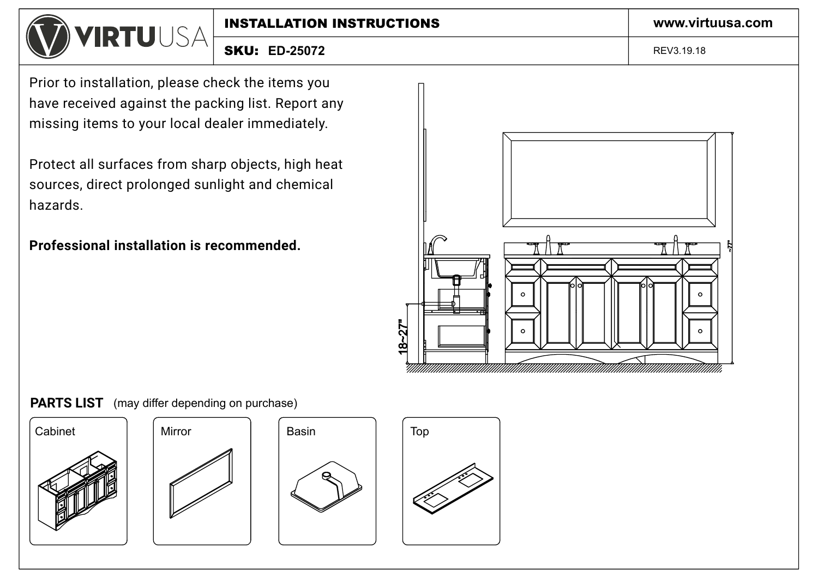

**ED-25072** SKU: REV3.19.18

Prior to installation, please check the items you have received against the packing list. Report any missing items to your local dealer immediately.

Protect all surfaces from sharp objects, high heat sources, direct prolonged sunlight and chemical hazards.

**Professional installation is recommended.**













**www.virtuusa.com**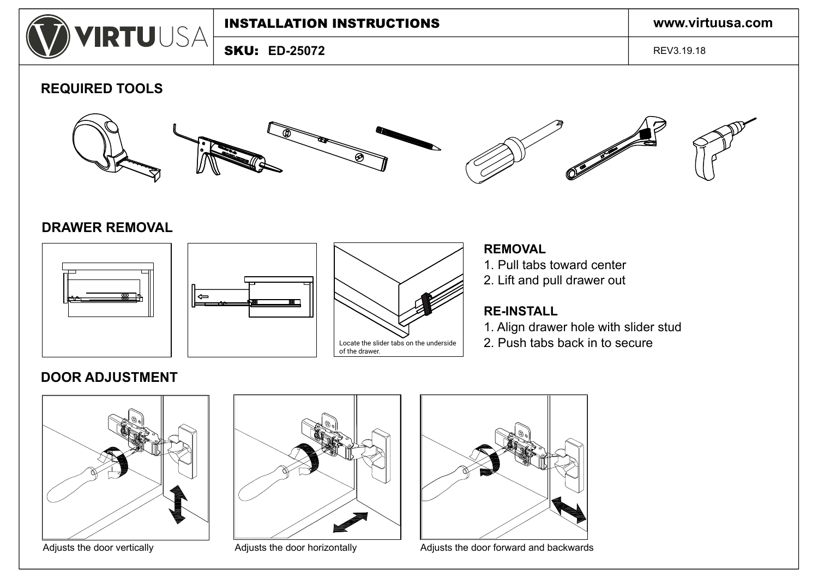

**ED-25072** SKU:

REV3.19.18

## **REQUIRED TOOLS**



### **DRAWER REMOVAL**







## **REMOVAL**

- 1. Pull tabs toward center
- 2. Lift and pull drawer out

## **RE-INSTALL**

- 1. Align drawer hole with slider stud
- 2. Push tabs back in to secure

# **DOOR ADJUSTMENT**







Adjusts the door vertically **Adjusts the door horizontally** Adjusts the door forward and backwards